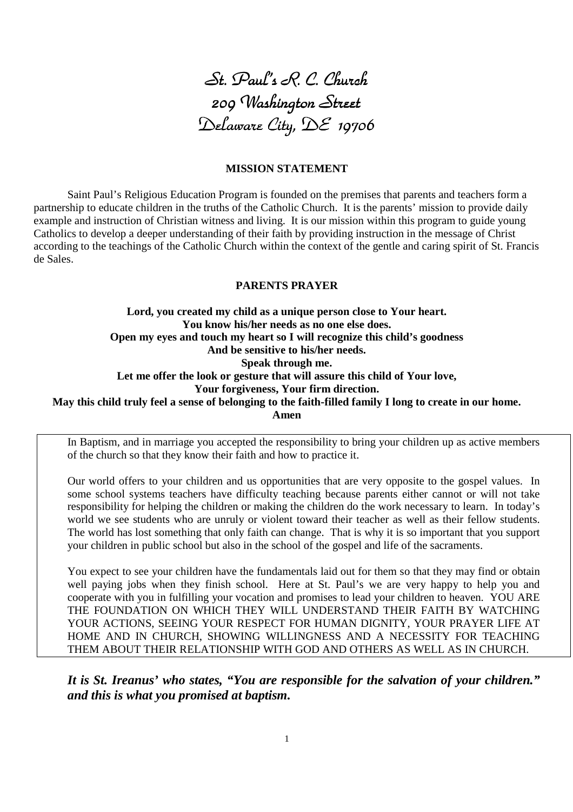

#### **MISSION STATEMENT**

Saint Paul's Religious Education Program is founded on the premises that parents and teachers form a partnership to educate children in the truths of the Catholic Church. It is the parents' mission to provide daily example and instruction of Christian witness and living. It is our mission within this program to guide young Catholics to develop a deeper understanding of their faith by providing instruction in the message of Christ according to the teachings of the Catholic Church within the context of the gentle and caring spirit of St. Francis de Sales.

#### **PARENTS PRAYER**

**Lord, you created my child as a unique person close to Your heart. You know his/her needs as no one else does. Open my eyes and touch my heart so I will recognize this child's goodness And be sensitive to his/her needs. Speak through me. Let me offer the look or gesture that will assure this child of Your love, Your forgiveness, Your firm direction. May this child truly feel a sense of belonging to the faith-filled family I long to create in our home.** 

**Amen**

In Baptism, and in marriage you accepted the responsibility to bring your children up as active members of the church so that they know their faith and how to practice it.

Our world offers to your children and us opportunities that are very opposite to the gospel values. In some school systems teachers have difficulty teaching because parents either cannot or will not take responsibility for helping the children or making the children do the work necessary to learn. In today's world we see students who are unruly or violent toward their teacher as well as their fellow students. The world has lost something that only faith can change. That is why it is so important that you support your children in public school but also in the school of the gospel and life of the sacraments.

You expect to see your children have the fundamentals laid out for them so that they may find or obtain well paying jobs when they finish school. Here at St. Paul's we are very happy to help you and cooperate with you in fulfilling your vocation and promises to lead your children to heaven. YOU ARE THE FOUNDATION ON WHICH THEY WILL UNDERSTAND THEIR FAITH BY WATCHING YOUR ACTIONS, SEEING YOUR RESPECT FOR HUMAN DIGNITY, YOUR PRAYER LIFE AT HOME AND IN CHURCH, SHOWING WILLINGNESS AND A NECESSITY FOR TEACHING THEM ABOUT THEIR RELATIONSHIP WITH GOD AND OTHERS AS WELL AS IN CHURCH.

*It is St. Ireanus' who states, "You are responsible for the salvation of your children." and this is what you promised at baptism.*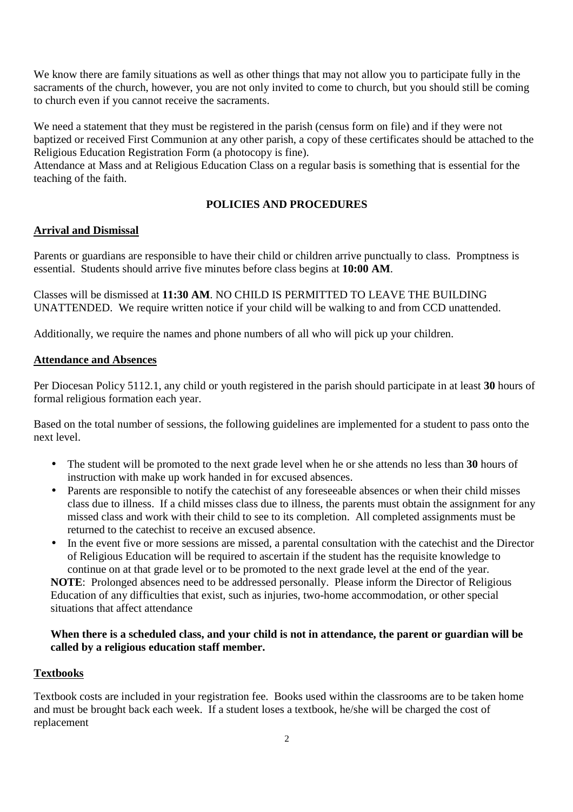We know there are family situations as well as other things that may not allow you to participate fully in the sacraments of the church, however, you are not only invited to come to church, but you should still be coming to church even if you cannot receive the sacraments.

We need a statement that they must be registered in the parish (census form on file) and if they were not baptized or received First Communion at any other parish, a copy of these certificates should be attached to the Religious Education Registration Form (a photocopy is fine).

Attendance at Mass and at Religious Education Class on a regular basis is something that is essential for the teaching of the faith.

# **POLICIES AND PROCEDURES**

# **Arrival and Dismissal**

Parents or guardians are responsible to have their child or children arrive punctually to class. Promptness is essential. Students should arrive five minutes before class begins at **10:00 AM**.

Classes will be dismissed at **11:30 AM**. NO CHILD IS PERMITTED TO LEAVE THE BUILDING UNATTENDED. We require written notice if your child will be walking to and from CCD unattended.

Additionally, we require the names and phone numbers of all who will pick up your children.

#### **Attendance and Absences**

Per Diocesan Policy 5112.1, any child or youth registered in the parish should participate in at least **30** hours of formal religious formation each year.

Based on the total number of sessions, the following guidelines are implemented for a student to pass onto the next level.

- The student will be promoted to the next grade level when he or she attends no less than **30** hours of instruction with make up work handed in for excused absences.
- Parents are responsible to notify the catechist of any foreseeable absences or when their child misses class due to illness. If a child misses class due to illness, the parents must obtain the assignment for any missed class and work with their child to see to its completion. All completed assignments must be returned to the catechist to receive an excused absence.
- In the event five or more sessions are missed, a parental consultation with the catechist and the Director of Religious Education will be required to ascertain if the student has the requisite knowledge to continue on at that grade level or to be promoted to the next grade level at the end of the year. **NOTE**: Prolonged absences need to be addressed personally. Please inform the Director of Religious Education of any difficulties that exist, such as injuries, two-home accommodation, or other special situations that affect attendance

#### **When there is a scheduled class, and your child is not in attendance, the parent or guardian will be called by a religious education staff member.**

#### **Textbooks**

Textbook costs are included in your registration fee. Books used within the classrooms are to be taken home and must be brought back each week. If a student loses a textbook, he/she will be charged the cost of replacement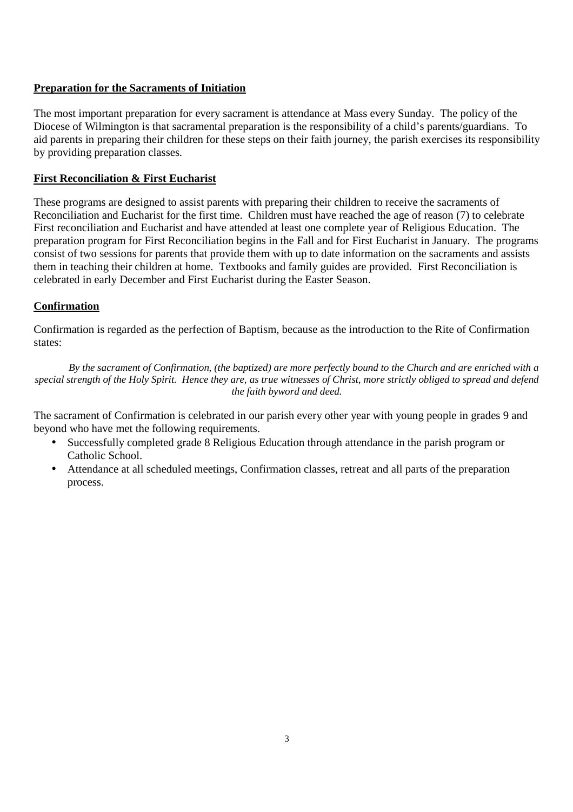# **Preparation for the Sacraments of Initiation**

The most important preparation for every sacrament is attendance at Mass every Sunday. The policy of the Diocese of Wilmington is that sacramental preparation is the responsibility of a child's parents/guardians. To aid parents in preparing their children for these steps on their faith journey, the parish exercises its responsibility by providing preparation classes.

### **First Reconciliation & First Eucharist**

These programs are designed to assist parents with preparing their children to receive the sacraments of Reconciliation and Eucharist for the first time. Children must have reached the age of reason (7) to celebrate First reconciliation and Eucharist and have attended at least one complete year of Religious Education. The preparation program for First Reconciliation begins in the Fall and for First Eucharist in January. The programs consist of two sessions for parents that provide them with up to date information on the sacraments and assists them in teaching their children at home. Textbooks and family guides are provided. First Reconciliation is celebrated in early December and First Eucharist during the Easter Season.

# **Confirmation**

Confirmation is regarded as the perfection of Baptism, because as the introduction to the Rite of Confirmation states:

*By the sacrament of Confirmation, (the baptized) are more perfectly bound to the Church and are enriched with a special strength of the Holy Spirit. Hence they are, as true witnesses of Christ, more strictly obliged to spread and defend the faith byword and deed.* 

The sacrament of Confirmation is celebrated in our parish every other year with young people in grades 9 and beyond who have met the following requirements.

- Successfully completed grade 8 Religious Education through attendance in the parish program or Catholic School.
- Attendance at all scheduled meetings, Confirmation classes, retreat and all parts of the preparation process.